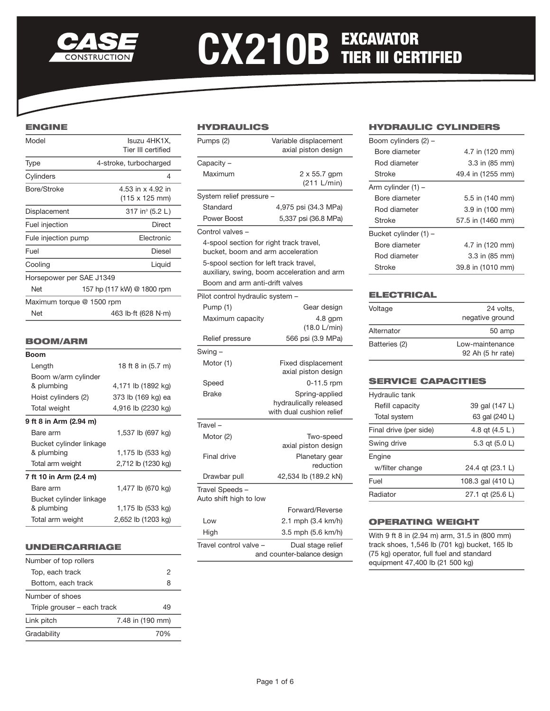

# CX210B EXCAVATOR

# ENGINE

| Model                     | Isuzu 4HK1X,<br>Tier III certified  |
|---------------------------|-------------------------------------|
| Type                      | 4-stroke, turbocharged              |
| Cylinders                 | 4                                   |
| Bore/Stroke               | 4.53 in x 4.92 in<br>(115 x 125 mm) |
| Displacement              | 317 in <sup>3</sup> (5.2 L)         |
| Fuel injection            | Direct                              |
| Fule injection pump       | Electronic                          |
| Fuel                      | Diesel                              |
| Cooling                   | Liquid                              |
| Horsepower per SAE J1349  |                                     |
| Net                       | 157 hp (117 kW) @ 1800 rpm          |
| Maximum torque @ 1500 rpm |                                     |
| Net                       | 463 lb ft (628 N m)                 |

## BOOM/ARM

| Boom                                  |                    |
|---------------------------------------|--------------------|
| Length                                | 18 ft 8 in (5.7 m) |
| Boom w/arm cylinder<br>& plumbing     | 4,171 lb (1892 kg) |
| Hoist cylinders (2)                   | 373 lb (169 kg) ea |
| <b>Total weight</b>                   | 4,916 lb (2230 kg) |
| 9 ft 8 in Arm (2.94 m)                |                    |
| Bare arm                              | 1,537 lb (697 kg)  |
| Bucket cylinder linkage<br>& plumbing | 1,175 lb (533 kg)  |
| Total arm weight                      | 2,712 lb (1230 kg) |
| 7 ft 10 in Arm (2.4 m)                |                    |
| Bare arm                              | 1,477 lb (670 kg)  |
| Bucket cylinder linkage<br>& plumbing | 1,175 lb (533 kg)  |
| Total arm weight                      | 2,652 lb (1203 kg) |
|                                       |                    |

# UNDERCARRIAGE

| 2                                 |
|-----------------------------------|
| 8                                 |
|                                   |
| Triple grouser - each track<br>49 |
| 7.48 in (190 mm)                  |
| 70%                               |
|                                   |

## HYDRAULICS

| Variable displacement<br>axial piston design<br>Maximum<br>2 x 55.7 gpm<br>(211 L/min)<br>Standard<br>4,975 psi (34.3 MPa)<br>Power Boost<br>5,337 psi (36.8 MPa)<br>4-spool section for right track travel,<br>bucket, boom and arm acceleration<br>5-spool section for left track travel,<br>auxiliary, swing, boom acceleration and arm<br>Boom and arm anti-drift valves<br>Pump (1)<br>Gear design<br>Maximum capacity<br>4.8 gpm<br>(18.0 L/min)<br>566 psi (3.9 MPa)<br>Relief pressure<br>Motor (1)<br><b>Fixed displacement</b><br>axial piston design<br>0-11.5 rpm<br>Speed<br><b>Brake</b><br>Spring-applied<br>hydraulically released<br>with dual cushion relief<br>Travel –<br>Motor (2)<br>Two-speed<br>axial piston design<br><b>Final drive</b><br>Planetary gear<br>reduction<br>42,534 lb (189.2 kN)<br>Drawbar pull<br>Forward/Reverse<br>2.1 mph (3.4 km/h)<br>Low<br>3.5 mph (5.6 km/h)<br>High<br>Dual stage relief |           |                            |
|---------------------------------------------------------------------------------------------------------------------------------------------------------------------------------------------------------------------------------------------------------------------------------------------------------------------------------------------------------------------------------------------------------------------------------------------------------------------------------------------------------------------------------------------------------------------------------------------------------------------------------------------------------------------------------------------------------------------------------------------------------------------------------------------------------------------------------------------------------------------------------------------------------------------------------------------|-----------|----------------------------|
| Capacity -                                                                                                                                                                                                                                                                                                                                                                                                                                                                                                                                                                                                                                                                                                                                                                                                                                                                                                                                  | Pumps (2) |                            |
|                                                                                                                                                                                                                                                                                                                                                                                                                                                                                                                                                                                                                                                                                                                                                                                                                                                                                                                                             |           |                            |
| System relief pressure -<br>Control valves -<br>Pilot control hydraulic system ·<br>Swing -<br>Travel Speeds -<br>Auto shift high to low<br>Travel control valve                                                                                                                                                                                                                                                                                                                                                                                                                                                                                                                                                                                                                                                                                                                                                                            |           |                            |
|                                                                                                                                                                                                                                                                                                                                                                                                                                                                                                                                                                                                                                                                                                                                                                                                                                                                                                                                             |           |                            |
|                                                                                                                                                                                                                                                                                                                                                                                                                                                                                                                                                                                                                                                                                                                                                                                                                                                                                                                                             |           |                            |
|                                                                                                                                                                                                                                                                                                                                                                                                                                                                                                                                                                                                                                                                                                                                                                                                                                                                                                                                             |           |                            |
|                                                                                                                                                                                                                                                                                                                                                                                                                                                                                                                                                                                                                                                                                                                                                                                                                                                                                                                                             |           |                            |
|                                                                                                                                                                                                                                                                                                                                                                                                                                                                                                                                                                                                                                                                                                                                                                                                                                                                                                                                             |           |                            |
|                                                                                                                                                                                                                                                                                                                                                                                                                                                                                                                                                                                                                                                                                                                                                                                                                                                                                                                                             |           |                            |
|                                                                                                                                                                                                                                                                                                                                                                                                                                                                                                                                                                                                                                                                                                                                                                                                                                                                                                                                             |           |                            |
|                                                                                                                                                                                                                                                                                                                                                                                                                                                                                                                                                                                                                                                                                                                                                                                                                                                                                                                                             |           |                            |
|                                                                                                                                                                                                                                                                                                                                                                                                                                                                                                                                                                                                                                                                                                                                                                                                                                                                                                                                             |           |                            |
|                                                                                                                                                                                                                                                                                                                                                                                                                                                                                                                                                                                                                                                                                                                                                                                                                                                                                                                                             |           |                            |
|                                                                                                                                                                                                                                                                                                                                                                                                                                                                                                                                                                                                                                                                                                                                                                                                                                                                                                                                             |           |                            |
|                                                                                                                                                                                                                                                                                                                                                                                                                                                                                                                                                                                                                                                                                                                                                                                                                                                                                                                                             |           |                            |
|                                                                                                                                                                                                                                                                                                                                                                                                                                                                                                                                                                                                                                                                                                                                                                                                                                                                                                                                             |           |                            |
|                                                                                                                                                                                                                                                                                                                                                                                                                                                                                                                                                                                                                                                                                                                                                                                                                                                                                                                                             |           |                            |
|                                                                                                                                                                                                                                                                                                                                                                                                                                                                                                                                                                                                                                                                                                                                                                                                                                                                                                                                             |           |                            |
|                                                                                                                                                                                                                                                                                                                                                                                                                                                                                                                                                                                                                                                                                                                                                                                                                                                                                                                                             |           |                            |
|                                                                                                                                                                                                                                                                                                                                                                                                                                                                                                                                                                                                                                                                                                                                                                                                                                                                                                                                             |           |                            |
|                                                                                                                                                                                                                                                                                                                                                                                                                                                                                                                                                                                                                                                                                                                                                                                                                                                                                                                                             |           |                            |
|                                                                                                                                                                                                                                                                                                                                                                                                                                                                                                                                                                                                                                                                                                                                                                                                                                                                                                                                             |           |                            |
|                                                                                                                                                                                                                                                                                                                                                                                                                                                                                                                                                                                                                                                                                                                                                                                                                                                                                                                                             |           |                            |
|                                                                                                                                                                                                                                                                                                                                                                                                                                                                                                                                                                                                                                                                                                                                                                                                                                                                                                                                             |           |                            |
|                                                                                                                                                                                                                                                                                                                                                                                                                                                                                                                                                                                                                                                                                                                                                                                                                                                                                                                                             |           |                            |
|                                                                                                                                                                                                                                                                                                                                                                                                                                                                                                                                                                                                                                                                                                                                                                                                                                                                                                                                             |           |                            |
|                                                                                                                                                                                                                                                                                                                                                                                                                                                                                                                                                                                                                                                                                                                                                                                                                                                                                                                                             |           |                            |
|                                                                                                                                                                                                                                                                                                                                                                                                                                                                                                                                                                                                                                                                                                                                                                                                                                                                                                                                             |           |                            |
|                                                                                                                                                                                                                                                                                                                                                                                                                                                                                                                                                                                                                                                                                                                                                                                                                                                                                                                                             |           | and counter-balance design |

## HYDRAULIC CYLINDERS

| Boom cylinders (2) -  |                   |  |  |  |
|-----------------------|-------------------|--|--|--|
| Bore diameter         | 4.7 in (120 mm)   |  |  |  |
| Rod diameter          | 3.3 in (85 mm)    |  |  |  |
| Stroke                | 49.4 in (1255 mm) |  |  |  |
| Arm cylinder (1) -    |                   |  |  |  |
| Bore diameter         | 5.5 in (140 mm)   |  |  |  |
| Rod diameter          | 3.9 in (100 mm)   |  |  |  |
| Stroke                | 57.5 in (1460 mm) |  |  |  |
| Bucket cylinder (1) - |                   |  |  |  |
| Bore diameter         | 4.7 in (120 mm)   |  |  |  |
| Rod diameter          | 3.3 in (85 mm)    |  |  |  |
| Stroke                | 39.8 in (1010 mm) |  |  |  |

## **ELECTRICAL**

| Voltage       | 24 volts.<br>negative ground         |
|---------------|--------------------------------------|
| Alternator    | 50 amp                               |
| Batteries (2) | Low-maintenance<br>92 Ah (5 hr rate) |

# SERVICE CAPACITIES

| Hydraulic tank         |                   |  |  |  |
|------------------------|-------------------|--|--|--|
| Refill capacity        | 39 gal (147 L)    |  |  |  |
| Total system           | 63 gal (240 L)    |  |  |  |
| Final drive (per side) | 4.8 gt (4.5 L)    |  |  |  |
| Swing drive            | 5.3 qt (5.0 L)    |  |  |  |
| Engine                 |                   |  |  |  |
| w/filter change        | 24.4 gt (23.1 L)  |  |  |  |
| Fuel                   | 108.3 gal (410 L) |  |  |  |
| Radiator               | 27.1 gt (25.6 L)  |  |  |  |

### OPERATING WEIGHT

With 9 ft 8 in (2.94 m) arm, 31.5 in (800 mm) track shoes, 1,546 lb (701 kg) bucket, 165 lb (75 kg) operator, full fuel and standard equipment 47,400 lb (21 500 kg)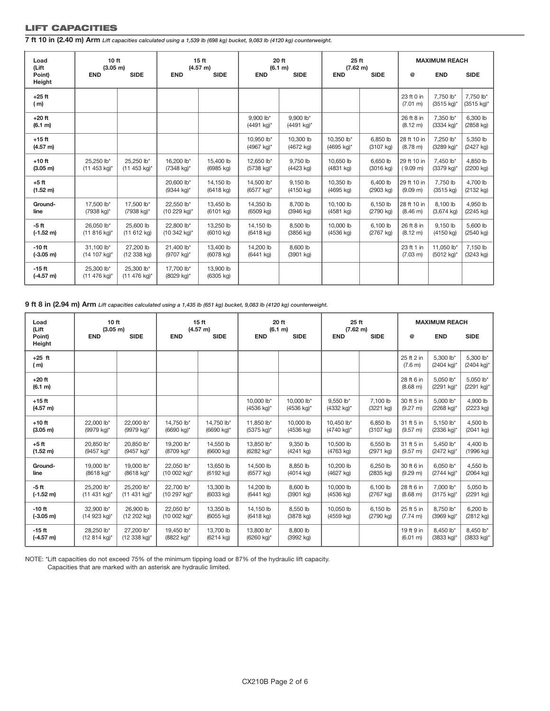# LIFT CAPACITIES

**7 ft 10 in (2.40 m) Arm** *Lift capacities calculated using a 1,539 lb (698 kg) bucket, 9,083 lb (4120 kg) counterweight.*

| Load<br>(Lift<br>Point)         | 10 <sub>ft</sub><br>(3.05 m)<br><b>END</b> | <b>SIDE</b>                | <b>END</b>                 | 15 <sub>ft</sub><br>(4.57 m)<br><b>SIDE</b> | <b>END</b>                       | 20 ft<br>(6.1 m)<br><b>SIDE</b>    | 25 ft<br>(7.62 m)<br><b>END</b>     | <b>SIDE</b>                     | @                                | <b>MAXIMUM REACH</b><br><b>END</b> | <b>SIDE</b>             |
|---------------------------------|--------------------------------------------|----------------------------|----------------------------|---------------------------------------------|----------------------------------|------------------------------------|-------------------------------------|---------------------------------|----------------------------------|------------------------------------|-------------------------|
| Height                          |                                            |                            |                            |                                             |                                  |                                    |                                     |                                 |                                  |                                    |                         |
| $+25$ ft<br>(m)                 |                                            |                            |                            |                                             |                                  |                                    |                                     |                                 | 23 ft 0 in<br>(7.01 m)           | 7,750 lb*<br>$(3515 \text{ kg})^*$ | 7,750 lb*<br>(3515 kg)* |
| $+20$ ft<br>(6.1 m)             |                                            |                            |                            |                                             | 9.900 lb*<br>(4491 kg)*          | 9.900 lb*<br>$(4491 \text{ kg})^*$ |                                     |                                 | 26 ft 8 in<br>$(8.12 \text{ m})$ | 7.350 lb*<br>$(3334 \text{ kg})^*$ | 6,300 lb<br>(2858 kg)   |
| $+15$ ft<br>(4.57 m)            |                                            |                            |                            |                                             | 10,950 lb*<br>(4967 kg)*         | 10,300 lb<br>(4672 kg)             | 10.350 lb*<br>$(4695 \text{ kg})^*$ | 6,850 lb<br>$(3107 \text{ kg})$ | 28 ft 10 in<br>(8.78 m)          | 7,250 lb*<br>(3289 kg)*            | 5,350 lb<br>(2427 kg)   |
| $+10$ ft<br>(3.05 m)            | 25,250 lb*<br>$(11 453 kg)^*$              | 25,250 lb*<br>(11 453 kg)* | 16.200 lb*<br>(7348 kg)*   | 15,400 lb<br>$(6985$ kg)                    | 12,650 lb*<br>(5738 kg)*         | 9.750 lb<br>(4423 kg)              | 10.650 lb<br>$(4831$ kg)            | 6,650 lb<br>$(3016 \text{ kg})$ | 29 ft 10 in<br>(9.09 m)          | 7,450 lb*<br>(3379 kg)*            | 4,850 lb<br>(2200 kg)   |
| $+5$ ft<br>(1.52 m)             |                                            |                            | 20,600 lb*<br>(9344 kg)*   | 14,150 lb<br>$(6418$ kg)                    | 14,500 lb*<br>(6577 kg)*         | 9,150 lb<br>$(4150 \text{ kg})$    | 10,350 lb<br>$(4695$ kg)            | 6,400 lb<br>$(2903 \text{ kg})$ | 29 ft 10 in<br>(9.09 m)          | 7,750 lb<br>$(3515 \text{ kg})$    | 4,700 lb<br>(2132 kg)   |
| Ground-<br>line                 | 17,500 lb*<br>(7938 kg)*                   | 17,500 lb*<br>(7938 kg)*   | 22.550 lb*<br>(10 229 kg)* | 13.450 lb<br>$(6101$ kg)                    | 14.350 lb<br>$(6509$ kg)         | 8.700 lb<br>(3946 kg)              | 10.100 lb<br>$(4581$ kg)            | 6.150 lb<br>$(2790$ kg)         | 28 ft 10 in<br>(8.46 m)          | 8.100 lb<br>$(3,674 \text{ kg})$   | 4.950 lb<br>(2245 kg)   |
| $-5$ ft<br>$(-1.52 \text{ m})$  | 26.050 lb*<br>$(11 816 kg)^*$              | 25,600 lb<br>(11 612 kg)   | 22.800 lb*<br>(10 342 kg)* | 13.250 lb<br>$(6010 \text{ kg})$            | 14.150 lb<br>$(6418 \text{ kg})$ | 8.500 lb<br>$(3856$ kg)            | 10,000 lb<br>$(4536$ kg)            | 6.100 lb<br>$(2767$ kg)         | 26 ft 8 in<br>$(8.12 \text{ m})$ | 9.150 lb<br>(4150 kg)              | 5.600 lb<br>(2540 kg)   |
| $-10$ ft<br>$(-3.05 \text{ m})$ | 31.100 lb*<br>(14 107 kg)*                 | 27,200 lb<br>(12 338 kg)   | 21.400 lb*<br>(9707 kg)*   | 13,400 lb<br>$(6078$ kg)                    | 14.200 lb<br>$(6441 \text{ kg})$ | 8.600 lb<br>(3901 kg)              |                                     |                                 | 23 ft 1 in<br>$(7.03 \text{ m})$ | 11.050 lb*<br>(5012 kg)*           | 7.150 lb<br>(3243 kg)   |
| $-15$ ft<br>$(-4.57 m)$         | 25.300 lb*<br>(11 476 kg) <sup>*</sup>     | 25.300 lb*<br>(11 476 kg)* | 17.700 lb*<br>(8029 kg)*   | 13,900 lb<br>(6305 kg)                      |                                  |                                    |                                     |                                 |                                  |                                    |                         |

**9 ft 8 in (2.94 m) Arm** *Lift capacities calculated using a 1,435 lb (651 kg) bucket, 9,083 lb (4120 kg) counterweight.*

| Load                    | 10 <sub>ft</sub>           |                            | 15 <sub>ft</sub>         |                        | 20 ft                    |                          | 25 ft                   |                       | <b>MAXIMUM REACH</b>             |                         |                         |
|-------------------------|----------------------------|----------------------------|--------------------------|------------------------|--------------------------|--------------------------|-------------------------|-----------------------|----------------------------------|-------------------------|-------------------------|
| (Lift                   | (3.05 m)                   |                            | (4.57 m)                 |                        | (6.1 m)                  |                          | (7.62 m)                |                       |                                  |                         |                         |
| Point)<br>Height        | <b>END</b>                 | <b>SIDE</b>                | <b>END</b>               | <b>SIDE</b>            | <b>END</b>               | <b>SIDE</b>              | <b>END</b>              | <b>SIDE</b>           | $^\circledR$                     | <b>END</b>              | <b>SIDE</b>             |
| $+25$ ft<br>(m)         |                            |                            |                          |                        |                          |                          |                         |                       | 25 ft 2 in<br>(7.6 m)            | 5.300 lb*<br>(2404 kg)* | 5,300 lb*<br>(2404 kg)* |
| $+20$ ft<br>(6.1 m)     |                            |                            |                          |                        |                          |                          |                         |                       | 28 ft 6 in<br>(8.68 m)           | 5.050 lb*<br>(2291 kg)* | 5,050 lb*<br>(2291 kg)* |
| $+15$ ft<br>(4.57 m)    |                            |                            |                          |                        | 10.000 lb*<br>(4536 kg)* | 10.000 lb*<br>(4536 kg)* | 9.550 lb*<br>(4332 kg)* | 7.100 lb<br>(3221 kg) | 30 ft 5 in<br>$(9.27 \text{ m})$ | 5.000 lb*<br>(2268 kg)* | 4.900 lb<br>(2223 kg)   |
| $+10$ ft                | 22,000 lb*                 | 22,000 lb*                 | 14,750 lb*               | 14,750 lb*             | 11,850 lb*               | 10,000 lb                | 10.450 lb*              | 6,850 lb              | 31 ft 5 in                       | 5,150 lb*               | 4,500 lb                |
| (3.05 m)                | (9979 kg)*                 | (9979 kg)*                 | (6690 kg)*               | (6690 kg)*             | (5375 kg)*               | $(4536$ kg)              | (4740 kg)*              | $(3107 \text{ kg})$   | (9.57 m)                         | (2336 kg)*              | (2041 kg)               |
| $+5$ ft                 | 20.850 lb*                 | 20.850 lb*                 | 19.200 lb*               | 14.550 lb              | 13.850 lb*               | 9.350 lb                 | 10.500 lb               | 6.550 lb              | 31 ft 5 in                       | 5.450 lb*               | 4.400 lb                |
| (1.52 m)                | (9457 kg)*                 | (9457 kg)*                 | (8709 kg)*               | (6600 kg)              | (6282 kg)*               | (4241 kg)                | $(4763 \text{ kg})$     | $(2971$ kg)           | (9.57 m)                         | (2472 kg)*              | (1996 kg)               |
| Ground-                 | 19.000 lb*                 | 19,000 lb*                 | 22.050 lb*               | 13,650 lb              | 14,500 lb                | 8.850 lb                 | 10,200 lb               | 6.250 lb              | 30 ft 6 in                       | 6.050 lb*               | 4.550 lb                |
| line                    | (8618 kg)*                 | (8618 kg)*                 | (10 002 kg)*             | $(6192 \text{ kg})$    | $(6577 \text{ kg})$      | $(4014 \text{ kg})$      | $(4627$ kg)             | $(2835$ kg)           | (9.29 m)                         | (2744 kg)*              | (2064 kg)               |
| $-5$ ft                 | 25.200 lb*                 | 25.200 lb*                 | 22.700 lb*               | 13,300 lb              | 14,200 lb                | 8.600 lb                 | 10,000 lb               | 6.100 lb              | 28 ft 6 in                       | 7.000 lb*               | 5.050 lb                |
| $(-1.52 \text{ m})$     | $(11 431 kg)^*$            | $(11 431 kg)^*$            | (10 297 kg)*             | $(6033$ kg)            | (6441 kg)                | $(3901$ kg)              | $(4536$ kg)             | $(2767$ kg)           | (8.68 m)                         | (3175 kg)*              | (2291 kg)               |
| $-10$ ft                | 32,900 lb*                 | 26,900 lb                  | 22.050 lb*               | 13,350 lb              | 14,150 lb                | 8,550 lb                 | 10.050 lb               | 6.150 lb              | 25 ft 5 in                       | 8,750 lb*               | 6,200 lb                |
| $(-3.05 m)$             | (14 923 kg)*               | (12 202 kg)                | (10 002 kg)*             | $(6055$ kg)            | $(6418 \text{ kg})$      | (3878 kg)                | (4559 kg)               | (2790 kg)             | $(7.74 \text{ m})$               | (3969 kg)*              | (2812 kg)               |
| $-15$ ft<br>$(-4.57 m)$ | 28,250 lb*<br>(12 814 kg)* | 27,200 lb*<br>(12 338 kg)* | 19,450 lb*<br>(8822 kg)* | 13,700 lb<br>(6214 kg) | 13,800 lb*<br>(6260 kg)* | 8,800 lb<br>(3992 kg)    |                         |                       | 19 ft 9 in<br>(6.01 m)           | 8,450 lb*<br>(3833 kg)* | 8,450 lb*<br>(3833 kg)* |

NOTE: \*Lift capacities do not exceed 75% of the minimum tipping load or 87% of the hydraulic lift capacity. Capacities that are marked with an asterisk are hydraulic limited.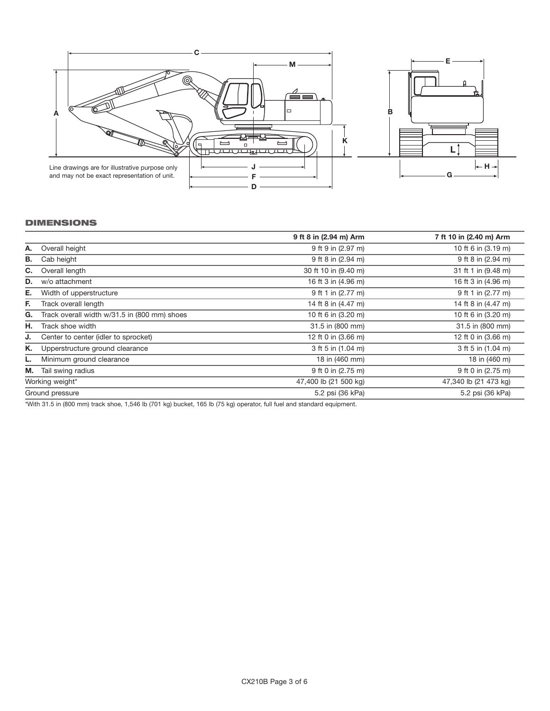

## DIMENSIONS

|                 |                                              | 9 ft 8 in (2.94 m) Arm | 7 ft 10 in (2.40 m) Arm |
|-----------------|----------------------------------------------|------------------------|-------------------------|
| А.              | Overall height                               | 9 ft 9 in (2.97 m)     | 10 ft 6 in (3.19 m)     |
| В.              | Cab height                                   | 9 ft 8 in (2.94 m)     | 9 ft 8 in (2.94 m)      |
| C.              | Overall length                               | 30 ft 10 in (9.40 m)   | 31 ft 1 in (9.48 m)     |
| D.              | w/o attachment                               | 16 ft 3 in (4.96 m)    | 16 ft 3 in (4.96 m)     |
| Е.              | Width of upperstructure                      | 9 ft 1 in (2.77 m)     | 9 ft 1 in (2.77 m)      |
| Е.              | Track overall length                         | 14 ft 8 in (4.47 m)    | 14 ft 8 in (4.47 m)     |
| G.              | Track overall width w/31.5 in (800 mm) shoes | 10 ft 6 in (3.20 m)    | 10 ft 6 in (3.20 m)     |
| Н.              | Track shoe width                             | 31.5 in (800 mm)       | 31.5 in (800 mm)        |
| J.              | Center to center (idler to sprocket)         | 12 ft 0 in (3.66 m)    | 12 ft 0 in (3.66 m)     |
| Κ.              | Upperstructure ground clearance              | 3 ft 5 in (1.04 m)     | 3 ft 5 in (1.04 m)      |
| L.              | Minimum ground clearance                     | 18 in (460 mm)         | 18 in (460 m)           |
| М.              | Tail swing radius                            | 9 ft 0 in (2.75 m)     | 9 ft 0 in (2.75 m)      |
| Working weight* |                                              | 47,400 lb (21 500 kg)  | 47,340 lb (21 473 kg)   |
| Ground pressure |                                              | 5.2 psi (36 kPa)       | 5.2 psi (36 kPa)        |

\*With 31.5 in (800 mm) track shoe, 1,546 lb (701 kg) bucket, 165 lb (75 kg) operator, full fuel and standard equipment.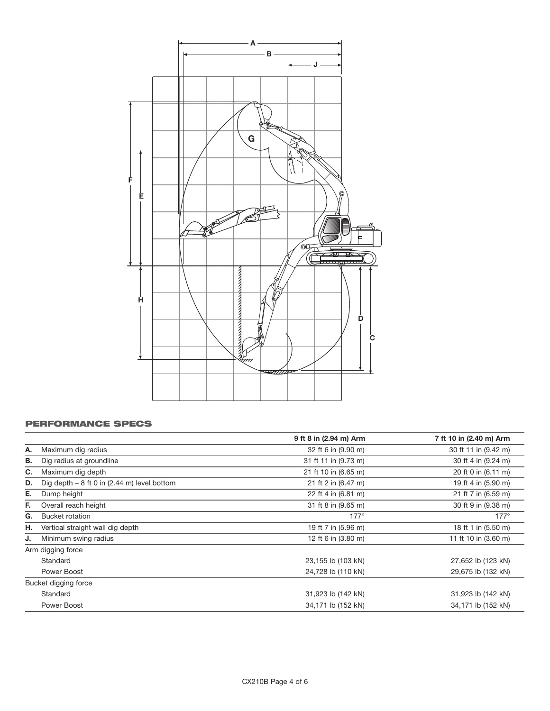

# PERFORMANCE SPECS

|    |                                              | 9 ft 8 in (2.94 m) Arm | 7 ft 10 in (2.40 m) Arm |
|----|----------------------------------------------|------------------------|-------------------------|
| А. | Maximum dig radius                           | 32 ft 6 in (9.90 m)    | 30 ft 11 in (9.42 m)    |
| В. | Dig radius at groundline                     | 31 ft 11 in (9.73 m)   | 30 ft 4 in (9.24 m)     |
| C. | Maximum dig depth                            | 21 ft 10 in (6.65 m)   | 20 ft 0 in (6.11 m)     |
| D. | Dig depth $-8$ ft 0 in (2.44 m) level bottom | 21 ft 2 in (6.47 m)    | 19 ft 4 in (5.90 m)     |
| Е. | Dump height                                  | 22 ft 4 in (6.81 m)    | 21 ft 7 in (6.59 m)     |
| Е. | Overall reach height                         | 31 ft 8 in (9.65 m)    | 30 ft 9 in (9.38 m)     |
| G. | <b>Bucket rotation</b>                       | $177^\circ$            | $177^\circ$             |
| Н. | Vertical straight wall dig depth             | 19 ft 7 in (5.96 m)    | 18 ft 1 in (5.50 m)     |
| J. | Minimum swing radius                         | 12 ft 6 in (3.80 m)    | 11 ft 10 in (3.60 m)    |
|    | Arm digging force                            |                        |                         |
|    | Standard                                     | 23,155 lb (103 kN)     | 27,652 lb (123 kN)      |
|    | Power Boost                                  | 24,728 lb (110 kN)     | 29,675 lb (132 kN)      |
|    | Bucket digging force                         |                        |                         |
|    | Standard                                     | 31,923 lb (142 kN)     | 31,923 lb (142 kN)      |
|    | Power Boost                                  | 34,171 lb (152 kN)     | 34,171 lb (152 kN)      |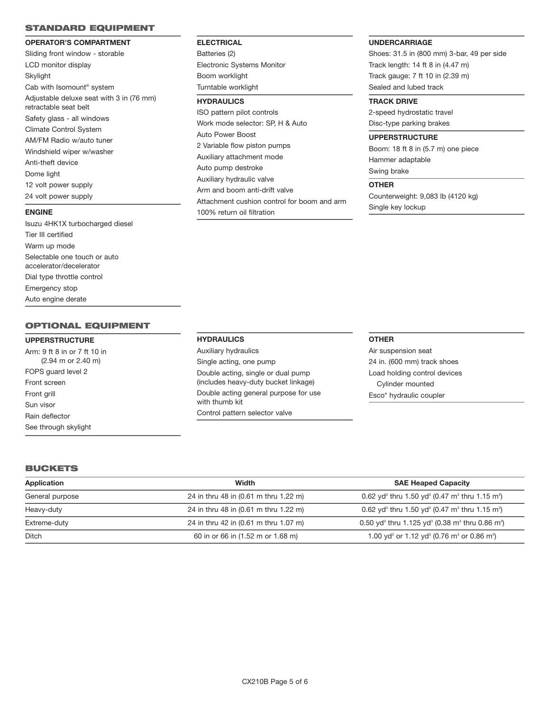#### STANDARD EQUIPMENT

#### **OPERATOR'S COMPARTMENT**

Sliding front window - storable LCD monitor display Skylight Cab with Isomount® system Adjustable deluxe seat with 3 in (76 mm) retractable seat belt Safety glass - all windows Climate Control System AM/FM Radio w/auto tuner Windshield wiper w/washer Anti-theft device Dome light 12 volt power supply 24 volt power supply

## **ENGINE**

Isuzu 4HK1X turbocharged diesel Tier III certified Warm up mode Selectable one touch or auto accelerator/decelerator Dial type throttle control Emergency stop Auto engine derate

## OPTIONAL EQUIPMENT

#### **UPPERSTRUCTURE**

Arm: 9 ft 8 in or 7 ft 10 in (2.94 m or 2.40 m) FOPS guard level 2 Front screen Front grill Sun visor Rain deflector See through skylight

## **ELECTRICAL**

Batteries (2) Electronic Systems Monitor Boom worklight Turntable worklight

## **HYDRAULICS**

ISO pattern pilot controls Work mode selector: SP, H & Auto Auto Power Boost 2 Variable flow piston pumps Auxiliary attachment mode Auto pump destroke Auxiliary hydraulic valve Arm and boom anti-drift valve Attachment cushion control for boom and arm 100% return oil filtration

#### **UNDERCARRIAGE**

Shoes: 31.5 in (800 mm) 3-bar, 49 per side Track length: 14 ft 8 in (4.47 m) Track gauge: 7 ft 10 in (2.39 m) Sealed and lubed track

#### **TRACK DRIVE**

2-speed hydrostatic travel Disc-type parking brakes

#### **UPPERSTRUCTURE**

Boom: 18 ft 8 in (5.7 m) one piece Hammer adaptable Swing brake

#### **OTHER**

Counterweight: 9,083 lb (4120 kg) Single key lockup

#### **HYDRAULICS**

Auxiliary hydraulics Single acting, one pump Double acting, single or dual pump (includes heavy-duty bucket linkage) Double acting general purpose for use with thumb kit Control pattern selector valve

#### **OTHER**

Air suspension seat 24 in. (600 mm) track shoes Load holding control devices Cylinder mounted Esco\* hydraulic coupler

## BUCKETS

| Application     | Width                                 | <b>SAE Heaped Capacity</b>                                                                      |
|-----------------|---------------------------------------|-------------------------------------------------------------------------------------------------|
| General purpose | 24 in thru 48 in (0.61 m thru 1.22 m) | 0.62 yd <sup>3</sup> thru 1.50 yd <sup>3</sup> (0.47 m <sup>3</sup> thru 1.15 m <sup>3</sup> )  |
| Heavy-duty      | 24 in thru 48 in (0.61 m thru 1.22 m) | 0.62 yd <sup>3</sup> thru 1.50 yd <sup>3</sup> (0.47 m <sup>3</sup> thru 1.15 m <sup>3</sup> )  |
| Extreme-duty    | 24 in thru 42 in (0.61 m thru 1.07 m) | 0.50 yd <sup>3</sup> thru 1.125 yd <sup>3</sup> (0.38 m <sup>3</sup> thru 0.86 m <sup>3</sup> ) |
| Ditch           | 60 in or 66 in (1.52 m or 1.68 m)     | 1.00 yd <sup>3</sup> or 1.12 yd <sup>3</sup> (0.76 m <sup>3</sup> or 0.86 m <sup>3</sup> )      |